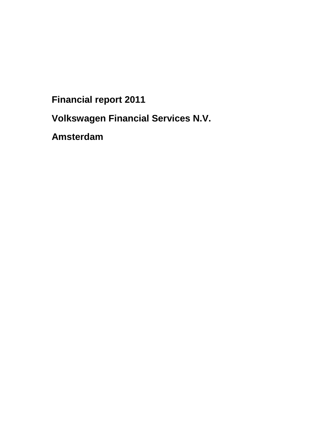**Financial report 2011**

**Volkswagen Financial Services N.V.**

**Amsterdam**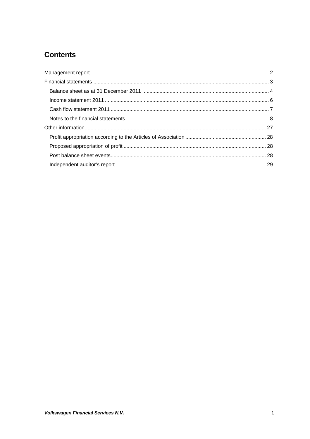# **Contents**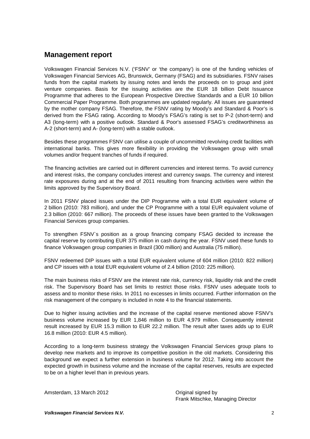# **Management report**

Volkswagen Financial Services N.V. ('FSNV' or 'the company') is one of the funding vehicles of Volkswagen Financial Services AG, Brunswick, Germany (FSAG) and its subsidiaries. FSNV raises funds from the capital markets by issuing notes and lends the proceeds on to group and joint venture companies. Basis for the issuing activities are the EUR 18 billion Debt Issuance Programme that adheres to the European Prospective Directive Standards and a EUR 10 billion Commercial Paper Programme. Both programmes are updated regularly. All issues are guaranteed by the mother company FSAG. Therefore, the FSNV rating by Moody's and Standard & Poor's is derived from the FSAG rating. According to Moody's FSAG's rating is set to P-2 (short-term) and A3 (long-term) with a positive outlook. Standard & Poor's assessed FSAG's creditworthiness as A-2 (short-term) and A- (long-term) with a stable outlook.

Besides these programmes FSNV can utilise a couple of uncommitted revolving credit facilities with international banks. This gives more flexibility in providing the Volkswagen group with small volumes and/or frequent tranches of funds if required.

The financing activities are carried out in different currencies and interest terms. To avoid currency and interest risks, the company concludes interest and currency swaps. The currency and interest rate exposures during and at the end of 2011 resulting from financing activities were within the limits approved by the Supervisory Board.

In 2011 FSNV placed issues under the DIP Programme with a total EUR equivalent volume of 2 billion (2010: 783 million), and under the CP Programme with a total EUR equivalent volume of 2.3 billion (2010: 667 million). The proceeds of these issues have been granted to the Volkswagen Financial Services group companies.

To strengthen FSNV`s position as a group financing company FSAG decided to increase the capital reserve by contributing EUR 375 million in cash during the year. FSNV used these funds to finance Volkswagen group companies in Brazil (300 million) and Australia (75 million).

FSNV redeemed DIP issues with a total EUR equivalent volume of 604 million (2010: 822 million) and CP issues with a total EUR equivalent volume of 2.4 billion (2010: 225 million).

The main business risks of FSNV are the interest rate risk, currency risk, liquidity risk and the credit risk. The Supervisory Board has set limits to restrict those risks. FSNV uses adequate tools to assess and to monitor these risks. In 2011 no excesses in limits occurred. Further information on the risk management of the company is included in note 4 to the financial statements.

Due to higher issuing activities and the increase of the capital reserve mentioned above FSNV's business volume increased by EUR 1,846 million to EUR 4,979 million. Consequently interest result increased by EUR 15.3 million to EUR 22.2 million. The result after taxes adds up to EUR 16.8 million (2010: EUR 4.5 million).

According to a long-term business strategy the Volkswagen Financial Services group plans to develop new markets and to improve its competitive position in the old markets. Considering this background we expect a further extension in business volume for 2012. Taking into account the expected growth in business volume and the increase of the capital reserves, results are expected to be on a higher level than in previous years.

Amsterdam, 13 March 2012 **Constanting Constanting Constanting Constanting Constanting Constanting Constanting Constanting Constanting Constanting Original signed by a set of the constanting of the constanting Constanting C** 

Frank Mitschke, Managing Director

*Volkswagen Financial Services N.V.* 2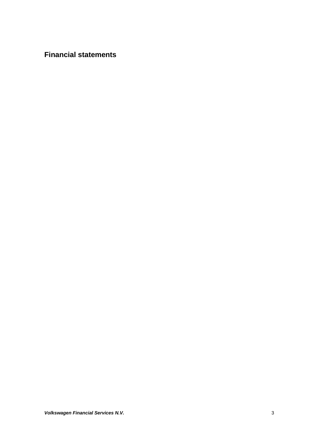**Financial statements**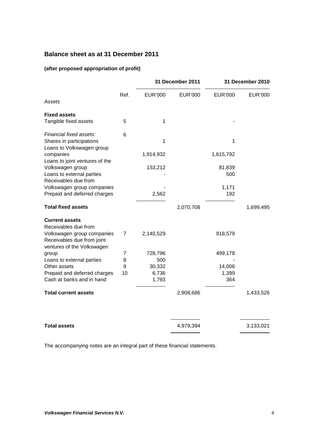# **Balance sheet as at 31 December 2011**

# **(after proposed appropriation of profit)**

|                                                          |         |                 | 31 December 2011 |                 | 31 December 2010 |
|----------------------------------------------------------|---------|-----------------|------------------|-----------------|------------------|
| Assets                                                   | Ref.    | <b>EUR'000</b>  | <b>EUR'000</b>   | <b>EUR'000</b>  | EUR'000          |
| <b>Fixed assets</b>                                      |         |                 |                  |                 |                  |
| Tangible fixed assets                                    | 5       | 1               |                  |                 |                  |
| Financial fixed assets:<br>Shares in participations      | 6       | 1               |                  | 1               |                  |
| Loans to Volkswagen group                                |         |                 |                  |                 |                  |
| companies<br>Loans to joint ventures of the              |         | 1,914,932       |                  | 1,615,792       |                  |
| Volkswagen group                                         |         | 153,212         |                  | 81,839          |                  |
| Loans to external parties<br>Receivables due from        |         |                 |                  | 500             |                  |
| Volkswagen group companies                               |         |                 |                  | 1,171           |                  |
| Prepaid and deferred charges                             |         | 2,562           |                  | 192             |                  |
| <b>Total fixed assets</b>                                |         |                 | 2,070,708        |                 | 1,699,495        |
| <b>Current assets</b>                                    |         |                 |                  |                 |                  |
| Receivables due from<br>Volkswagen group companies       | 7       | 2,140,529       |                  | 918,579         |                  |
| Receivables due from joint<br>ventures of the Volkswagen |         |                 |                  |                 |                  |
| group                                                    | 7       | 728,796         |                  | 499,178         |                  |
| Loans to external parties                                | 8       | 500             |                  |                 |                  |
| Other assets<br>Prepaid and deferred charges             | 9<br>10 | 30,332<br>6,736 |                  | 14,006<br>1,399 |                  |
| Cash at banks and in hand                                |         | 1,793           |                  | 364             |                  |
| <b>Total current assets</b>                              |         |                 | 2,908,686        |                 | 1,433,526        |
|                                                          |         |                 |                  |                 |                  |
| <b>Total assets</b>                                      |         |                 | 4,979,394        |                 | 3,133,021        |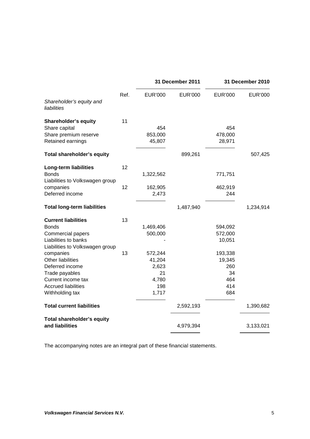|                                         |      |                | 31 December 2011 |                | 31 December 2010 |
|-----------------------------------------|------|----------------|------------------|----------------|------------------|
|                                         | Ref. | <b>EUR'000</b> | <b>EUR'000</b>   | <b>EUR'000</b> | EUR'000          |
| Shareholder's equity and<br>liabilities |      |                |                  |                |                  |
| <b>Shareholder's equity</b>             | 11   |                |                  |                |                  |
| Share capital                           |      | 454            |                  | 454            |                  |
| Share premium reserve                   |      | 853,000        |                  | 478,000        |                  |
| Retained earnings                       |      | 45,807         |                  | 28,971         |                  |
| <b>Total shareholder's equity</b>       |      |                | 899,261          |                | 507,425          |
| <b>Long-term liabilities</b>            | 12   |                |                  |                |                  |
| <b>Bonds</b>                            |      | 1,322,562      |                  | 771,751        |                  |
| Liabilities to Volkswagen group         |      |                |                  |                |                  |
| companies                               | 12   | 162,905        |                  | 462,919        |                  |
| Deferred income                         |      | 2,473          |                  | 244            |                  |
| <b>Total long-term liabilities</b>      |      |                | 1,487,940        |                | 1,234,914        |
| <b>Current liabilities</b>              | 13   |                |                  |                |                  |
| <b>Bonds</b>                            |      | 1,469,406      |                  | 594,092        |                  |
| Commercial papers                       |      | 500,000        |                  | 572,000        |                  |
| Liabilities to banks                    |      |                |                  | 10,051         |                  |
| Liabilities to Volkswagen group         |      |                |                  |                |                  |
| companies                               | 13   | 572,244        |                  | 193,338        |                  |
| <b>Other liabilities</b>                |      | 41,204         |                  | 19,345         |                  |
| Deferred income                         |      | 2,623<br>21    |                  | 260<br>34      |                  |
| Trade payables<br>Current income tax    |      | 4,780          |                  | 464            |                  |
| <b>Accrued liabilities</b>              |      | 198            |                  | 414            |                  |
| Withholding tax                         |      | 1,717          |                  | 684            |                  |
|                                         |      |                |                  |                |                  |
| <b>Total current liabilities</b>        |      |                | 2,592,193        |                | 1,390,682        |
| Total shareholder's equity              |      |                |                  |                |                  |
| and liabilities                         |      |                | 4,979,394        |                | 3,133,021        |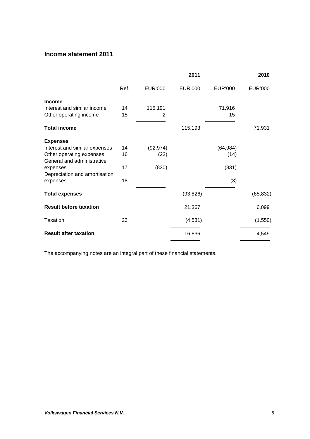# **Income statement 2011**

|                                                        |      |                | 2011           |                | 2010           |
|--------------------------------------------------------|------|----------------|----------------|----------------|----------------|
|                                                        | Ref. | <b>EUR'000</b> | <b>EUR'000</b> | <b>EUR'000</b> | <b>EUR'000</b> |
| <b>Income</b>                                          |      |                |                |                |                |
| Interest and similar income                            | 14   | 115,191        |                | 71,916         |                |
| Other operating income                                 | 15   | 2              |                | 15             |                |
| <b>Total income</b>                                    |      |                | 115,193        |                | 71,931         |
| <b>Expenses</b>                                        |      |                |                |                |                |
| Interest and similar expenses                          | 14   | (92, 974)      |                | (64, 984)      |                |
| Other operating expenses<br>General and administrative | 16   | (22)           |                | (14)           |                |
| expenses<br>Depreciation and amortisation              | 17   | (830)          |                | (831)          |                |
| expenses                                               | 18   |                |                | (3)            |                |
| <b>Total expenses</b>                                  |      |                | (93, 826)      |                | (65, 832)      |
| <b>Result before taxation</b>                          |      |                | 21,367         |                | 6,099          |
| <b>Taxation</b>                                        | 23   |                | (4,531)        |                | (1,550)        |
| <b>Result after taxation</b>                           |      |                | 16,836         |                | 4,549          |
|                                                        |      |                |                |                |                |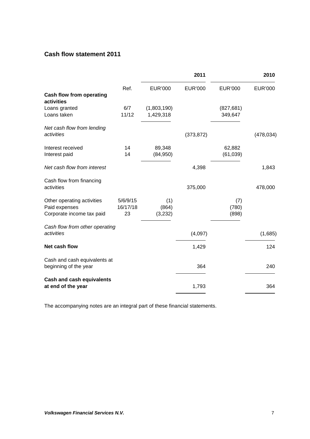# **Cash flow statement 2011**

|                                        |          |                | 2011           |                | 2010           |
|----------------------------------------|----------|----------------|----------------|----------------|----------------|
|                                        | Ref.     | <b>EUR'000</b> | <b>EUR'000</b> | <b>EUR'000</b> | <b>EUR'000</b> |
| Cash flow from operating<br>activities |          |                |                |                |                |
| Loans granted                          | 6/7      | (1,803,190)    |                | (827, 681)     |                |
| Loans taken                            | 11/12    | 1,429,318      |                | 349,647        |                |
| Net cash flow from lending             |          |                |                |                |                |
| activities                             |          |                | (373, 872)     |                | (478, 034)     |
| Interest received                      | 14       | 89,348         |                | 62,882         |                |
| Interest paid                          | 14       | (84,950)       |                | (61,039)       |                |
| Net cash flow from interest            |          |                | 4,398          |                | 1,843          |
| Cash flow from financing               |          |                |                |                |                |
| activities                             |          |                | 375,000        |                | 478,000        |
| Other operating activities             | 5/6/9/15 | (1)            |                | (7)            |                |
| Paid expenses                          | 16/17/18 | (864)          |                | (780)          |                |
| Corporate income tax paid              | 23       | (3, 232)       |                | (898)          |                |
| Cash flow from other operating         |          |                |                |                |                |
| activities                             |          |                | (4,097)        |                | (1,685)        |
| Net cash flow                          |          |                | 1,429          |                | 124            |
| Cash and cash equivalents at           |          |                |                |                |                |
| beginning of the year                  |          |                | 364            |                | 240            |
| <b>Cash and cash equivalents</b>       |          |                |                |                |                |
| at end of the year                     |          |                | 1,793          |                | 364            |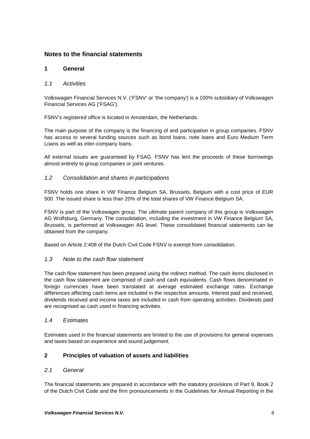# **Notes to the financial statements**

## **1 General**

## *1.1 Activities*

Volkswagen Financial Services N.V. ('FSNV' or 'the company') is a 100% subsidiary of Volkswagen Financial Services AG ('FSAG').

FSNV's registered office is located in Amsterdam, the Netherlands.

The main purpose of the company is the financing of and participation in group companies. FSNV has access to several funding sources such as bond loans, note loans and Euro Medium Term Loans as well as inter-company loans.

All external issues are guaranteed by FSAG. FSNV has lent the proceeds of these borrowings almost entirely to group companies or joint ventures.

## *1.2 Consolidation and shares in participations*

FSNV holds one share in VW Finance Belgium SA, Brussels, Belgium with a cost price of EUR 500. The issued share is less than 20% of the total shares of VW Finance Belgium SA.

FSNV is part of the Volkswagen group. The ultimate parent company of this group is Volkswagen AG Wolfsburg, Germany. The consolidation, including the investment in VW Finance Belgium SA, Brussels, is performed at Volkswagen AG level. These consolidated financial statements can be obtained from the company.

Based on Article 2:408 of the Dutch Civil Code FSNV is exempt from consolidation.

## *1.3 Note to the cash flow statement*

The cash flow statement has been prepared using the indirect method. The cash items disclosed in the cash flow statement are comprised of cash and cash equivalents. Cash flows denominated in foreign currencies have been translated at average estimated exchange rates. Exchange differences affecting cash items are included in the respective amounts. Interest paid and received, dividends received and income taxes are included in cash from operating activities. Dividends paid are recognised as cash used in financing activities.

## *1.4 Estimates*

Estimates used in the financial statements are limited to the use of provisions for general expenses and taxes based on experience and sound judgement.

## **2 Principles of valuation of assets and liabilities**

## *2.1 General*

The financial statements are prepared in accordance with the statutory provisions of Part 9, Book 2 of the Dutch Civil Code and the firm pronouncements in the Guidelines for Annual Reporting in the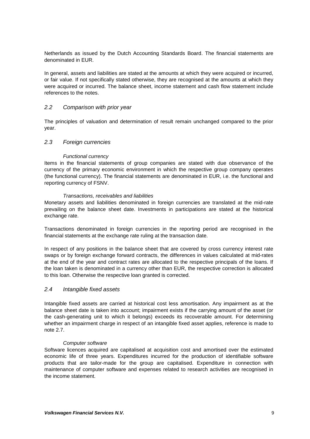Netherlands as issued by the Dutch Accounting Standards Board. The financial statements are denominated in EUR.

In general, assets and liabilities are stated at the amounts at which they were acquired or incurred, or fair value. If not specifically stated otherwise, they are recognised at the amounts at which they were acquired or incurred. The balance sheet, income statement and cash flow statement include references to the notes.

## *2.2 Comparison with prior year*

The principles of valuation and determination of result remain unchanged compared to the prior year.

## *2.3 Foreign currencies*

#### *Functional currency*

Items in the financial statements of group companies are stated with due observance of the currency of the primary economic environment in which the respective group company operates (the functional currency). The financial statements are denominated in EUR, i.e. the functional and reporting currency of FSNV.

#### *Transactions, receivables and liabilities*

Monetary assets and liabilities denominated in foreign currencies are translated at the mid-rate prevailing on the balance sheet date. Investments in participations are stated at the historical exchange rate.

Transactions denominated in foreign currencies in the reporting period are recognised in the financial statements at the exchange rate ruling at the transaction date.

In respect of any positions in the balance sheet that are covered by cross currency interest rate swaps or by foreign exchange forward contracts, the differences in values calculated at mid-rates at the end of the year and contract rates are allocated to the respective principals of the loans. If the loan taken is denominated in a currency other than EUR, the respective correction is allocated to this loan. Otherwise the respective loan granted is corrected.

#### *2.4 Intangible fixed assets*

Intangible fixed assets are carried at historical cost less amortisation. Any impairment as at the balance sheet date is taken into account; impairment exists if the carrying amount of the asset (or the cash-generating unit to which it belongs) exceeds its recoverable amount. For determining whether an impairment charge in respect of an intangible fixed asset applies, reference is made to note 2.7.

#### *Computer software*

Software licences acquired are capitalised at acquisition cost and amortised over the estimated economic life of three years. Expenditures incurred for the production of identifiable software products that are tailor-made for the group are capitalised. Expenditure in connection with maintenance of computer software and expenses related to research activities are recognised in the income statement.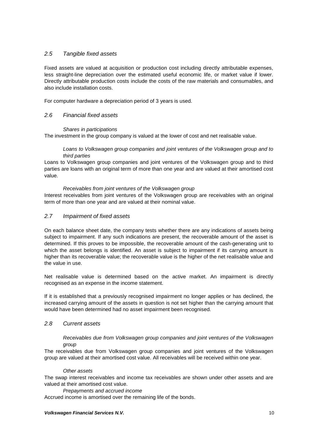## *2.5 Tangible fixed assets*

Fixed assets are valued at acquisition or production cost including directly attributable expenses, less straight-line depreciation over the estimated useful economic life, or market value if lower. Directly attributable production costs include the costs of the raw materials and consumables, and also include installation costs.

For computer hardware a depreciation period of 3 years is used.

## *2.6 Financial fixed assets*

## *Shares in participations*

The investment in the group company is valued at the lower of cost and net realisable value.

## *Loans to Volkswagen group companies and joint ventures of the Volkswagen group and to third parties*

Loans to Volkswagen group companies and joint ventures of the Volkswagen group and to third parties are loans with an original term of more than one year and are valued at their amortised cost value.

## *Receivables from joint ventures of the Volkswagen group*

Interest receivables from joint ventures of the Volkswagen group are receivables with an original term of more than one year and are valued at their nominal value.

## *2.7 Impairment of fixed assets*

On each balance sheet date, the company tests whether there are any indications of assets being subject to impairment. If any such indications are present, the recoverable amount of the asset is determined. If this proves to be impossible, the recoverable amount of the cash-generating unit to which the asset belongs is identified. An asset is subject to impairment if its carrying amount is higher than its recoverable value; the recoverable value is the higher of the net realisable value and the value in use.

Net realisable value is determined based on the active market. An impairment is directly recognised as an expense in the income statement.

If it is established that a previously recognised impairment no longer applies or has declined, the increased carrying amount of the assets in question is not set higher than the carrying amount that would have been determined had no asset impairment been recognised.

## *2.8 Current assets*

*Receivables due from Volkswagen group companies and joint ventures of the Volkswagen group*

The receivables due from Volkswagen group companies and joint ventures of the Volkswagen group are valued at their amortised cost value. All receivables will be received within one year.

#### *Other assets*

The swap interest receivables and income tax receivables are shown under other assets and are valued at their amortised cost value.

*Prepayments and accrued income*

Accrued income is amortised over the remaining life of the bonds.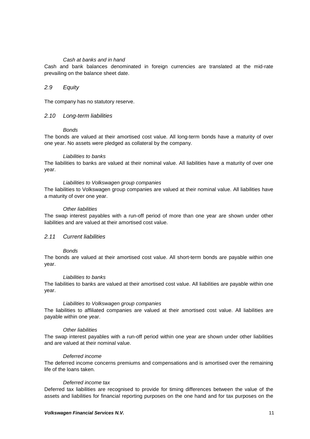#### *Cash at banks and in hand*

Cash and bank balances denominated in foreign currencies are translated at the mid-rate prevailing on the balance sheet date.

### *2.9 Equity*

The company has no statutory reserve.

#### *2.10 Long-term liabilities*

#### *Bonds*

The bonds are valued at their amortised cost value. All long-term bonds have a maturity of over one year. No assets were pledged as collateral by the company.

#### *Liabilities to banks*

The liabilities to banks are valued at their nominal value. All liabilities have a maturity of over one year.

#### *Liabilities to Volkswagen group companies*

The liabilities to Volkswagen group companies are valued at their nominal value. All liabilities have a maturity of over one year.

#### *Other liabilities*

The swap interest payables with a run-off period of more than one year are shown under other liabilities and are valued at their amortised cost value.

## *2.11 Current liabilities*

#### *Bonds*

The bonds are valued at their amortised cost value. All short-term bonds are payable within one year.

#### *Liabilities to banks*

The liabilities to banks are valued at their amortised cost value. All liabilities are payable within one year.

#### *Liabilities to Volkswagen group companies*

The liabilities to affiliated companies are valued at their amortised cost value. All liabilities are payable within one year.

#### *Other liabilities*

The swap interest payables with a run-off period within one year are shown under other liabilities and are valued at their nominal value.

#### *Deferred income*

The deferred income concerns premiums and compensations and is amortised over the remaining life of the loans taken.

#### *Deferred income tax*

Deferred tax liabilities are recognised to provide for timing differences between the value of the assets and liabilities for financial reporting purposes on the one hand and for tax purposes on the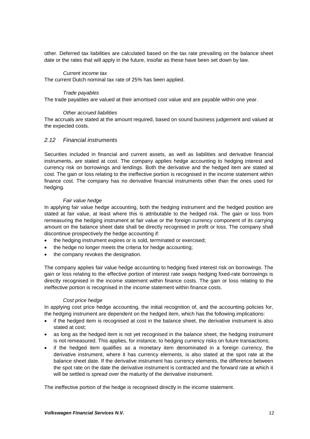other. Deferred tax liabilities are calculated based on the tax rate prevailing on the balance sheet date or the rates that will apply in the future, insofar as these have been set down by law.

#### *Current income tax*

The current Dutch nominal tax rate of 25% has been applied.

#### *Trade payables*

The trade payables are valued at their amortised cost value and are payable within one year.

#### *Other accrued liabilities*

The accruals are stated at the amount required, based on sound business judgement and valued at the expected costs.

## *2.12 Financial instruments*

Securities included in financial and current assets, as well as liabilities and derivative financial instruments, are stated at cost. The company applies hedge accounting to hedging interest and currency risk on borrowings and lendings. Both the derivative and the hedged item are stated at cost. The gain or loss relating to the ineffective portion is recognised in the income statement within finance cost. The company has no derivative financial instruments other than the ones used for hedging.

#### *Fair value hedge*

In applying fair value hedge accounting, both the hedging instrument and the hedged position are stated at fair value, at least where this is attributable to the hedged risk. The gain or loss from remeasuring the hedging instrument at fair value or the foreign currency component of its carrying amount on the balance sheet date shall be directly recognised in profit or loss. The company shall discontinue prospectively the hedge accounting if:

- the hedging instrument expires or is sold, terminated or exercised;
- the hedge no longer meets the criteria for hedge accounting;
- the company revokes the designation.

The company applies fair value hedge accounting to hedging fixed interest risk on borrowings. The gain or loss relating to the effective portion of interest rate swaps hedging fixed-rate borrowings is directly recognised in the income statement within finance costs. The gain or loss relating to the ineffective portion is recognised in the income statement within finance costs.

#### *Cost price hedge*

In applying cost price hedge accounting, the initial recognition of, and the accounting policies for, the hedging instrument are dependent on the hedged item, which has the following implications:

- if the hedged item is recognised at cost in the balance sheet, the derivative instrument is also stated at cost;
- as long as the hedged item is not yet recognised in the balance sheet, the hedging instrument is not remeasured. This applies, for instance, to hedging currency risks on future transactions;
- if the hedged item qualifies as a monetary item denominated in a foreign currency, the derivative instrument, where it has currency elements, is also stated at the spot rate at the balance sheet date. If the derivative instrument has currency elements, the difference between the spot rate on the date the derivative instrument is contracted and the forward rate at which it will be settled is spread over the maturity of the derivative instrument.

The ineffective portion of the hedge is recognised directly in the income statement.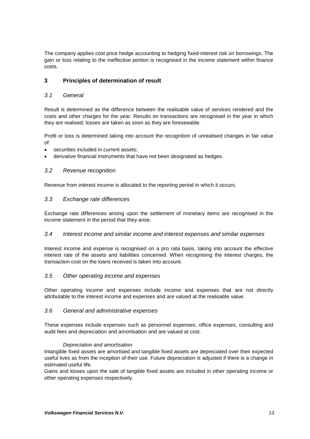The company applies cost price hedge accounting to hedging fixed-interest risk on borrowings. The gain or loss relating to the ineffective portion is recognised in the income statement within finance costs.

## **3 Principles of determination of result**

## *3.1 General*

Result is determined as the difference between the realisable value of services rendered and the costs and other charges for the year. Results on transactions are recognised in the year in which they are realised; losses are taken as soon as they are foreseeable.

Profit or loss is determined taking into account the recognition of unrealised changes in fair value of:

- securities included in current assets;
- derivative financial instruments that have not been designated as hedges.

## *3.2 Revenue recognition*

Revenue from interest income is allocated to the reporting period in which it occurs.

## *3.3 Exchange rate differences*

Exchange rate differences arising upon the settlement of monetary items are recognised in the income statement in the period that they arise.

#### *3.4 Interest income and similar income and interest expenses and similar expenses*

Interest income and expense is recognised on a pro rata basis, taking into account the effective interest rate of the assets and liabilities concerned. When recognising the interest charges, the transaction cost on the loans received is taken into account.

#### *3.5 Other operating income and expenses*

Other operating income and expenses include income and expenses that are not directly attributable to the interest income and expenses and are valued at the realisable value.

#### *3.6 General and administrative expenses*

These expenses include expenses such as personnel expenses, office expenses, consulting and audit fees and depreciation and amortisation and are valued at cost.

#### *Depreciation and amortisation*

Intangible fixed assets are amortised and tangible fixed assets are depreciated over their expected useful lives as from the inception of their use. Future depreciation is adjusted if there is a change in estimated useful life.

Gains and losses upon the sale of tangible fixed assets are included in other operating income or other operating expenses respectively.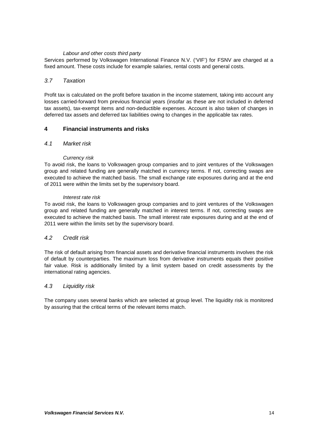#### *Labour and other costs third party*

Services performed by Volkswagen International Finance N.V. ('VIF') for FSNV are charged at a fixed amount. These costs include for example salaries, rental costs and general costs.

## *3.7 Taxation*

Profit tax is calculated on the profit before taxation in the income statement, taking into account any losses carried-forward from previous financial years (insofar as these are not included in deferred tax assets), tax-exempt items and non-deductible expenses. Account is also taken of changes in deferred tax assets and deferred tax liabilities owing to changes in the applicable tax rates.

## **4 Financial instruments and risks**

#### *4.1 Market risk*

#### *Currency risk*

To avoid risk, the loans to Volkswagen group companies and to joint ventures of the Volkswagen group and related funding are generally matched in currency terms. If not, correcting swaps are executed to achieve the matched basis. The small exchange rate exposures during and at the end of 2011 were within the limits set by the supervisory board.

#### *Interest rate risk*

To avoid risk, the loans to Volkswagen group companies and to joint ventures of the Volkswagen group and related funding are generally matched in interest terms. If not, correcting swaps are executed to achieve the matched basis. The small interest rate exposures during and at the end of 2011 were within the limits set by the supervisory board.

## *4.2 Credit risk*

The risk of default arising from financial assets and derivative financial instruments involves the risk of default by counterparties. The maximum loss from derivative instruments equals their positive fair value. Risk is additionally limited by a limit system based on credit assessments by the international rating agencies.

## *4.3 Liquidity risk*

The company uses several banks which are selected at group level. The liquidity risk is monitored by assuring that the critical terms of the relevant items match.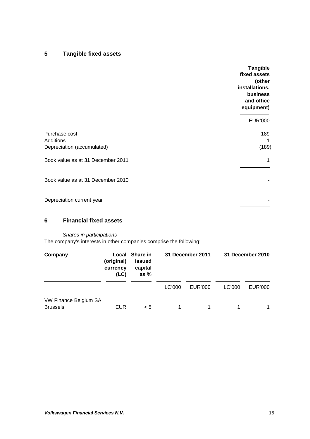# **5 Tangible fixed assets**

|                                                          | <b>Tangible</b><br>fixed assets<br>(other<br>installations,<br>business<br>and office<br>equipment) |
|----------------------------------------------------------|-----------------------------------------------------------------------------------------------------|
|                                                          | <b>EUR'000</b>                                                                                      |
| Purchase cost<br>Additions<br>Depreciation (accumulated) | 189<br>1<br>(189)                                                                                   |
| Book value as at 31 December 2011                        | 1                                                                                                   |
| Book value as at 31 December 2010                        |                                                                                                     |
| Depreciation current year                                |                                                                                                     |

# **6 Financial fixed assets**

*Shares in participations*

The company's interests in other companies comprise the following:

| Company                                   | (original)<br>currency<br>(LC) | Local Share in<br>issued<br>capital<br>as $%$ | 31 December 2011 |         |        | 31 December 2010 |
|-------------------------------------------|--------------------------------|-----------------------------------------------|------------------|---------|--------|------------------|
|                                           |                                |                                               | LC'000           | EUR'000 | LC'000 | EUR'000          |
| VW Finance Belgium SA,<br><b>Brussels</b> | <b>EUR</b>                     | < 5                                           | 1                | 1       |        |                  |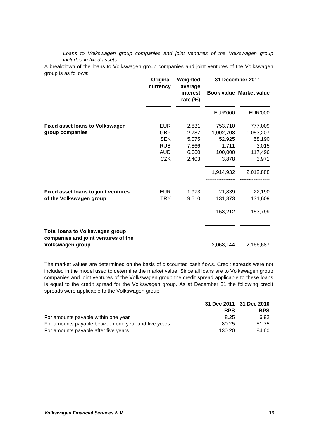*Loans to Volkswagen group companies and joint ventures of the Volkswagen group included in fixed assets*

A breakdown of the loans to Volkswagen group companies and joint ventures of the Volkswagen group is as follows:

| Original<br>currency |                         | Weighted  |                                | 31 December 2011 |
|----------------------|-------------------------|-----------|--------------------------------|------------------|
|                      | interest<br>rate $(\%)$ |           | <b>Book value Market value</b> |                  |
|                      |                         | EUR'000   | <b>EUR'000</b>                 |                  |
| <b>EUR</b>           | 2.831                   | 753,710   | 777,009                        |                  |
| <b>GBP</b>           | 2.787                   | 1,002,708 | 1,053,207                      |                  |
| <b>SEK</b>           | 5.075                   | 52,925    | 58,190                         |                  |
| <b>RUB</b>           | 7.866                   | 1,711     | 3,015                          |                  |
| <b>AUD</b>           | 6.660                   | 100,000   | 117,496                        |                  |
| <b>CZK</b>           | 2.403                   | 3,878     | 3,971                          |                  |
|                      |                         | 1,914,932 | 2,012,888                      |                  |
| <b>EUR</b>           | 1.973                   |           | 22,190                         |                  |
| <b>TRY</b>           | 9.510                   | 131,373   | 131,609                        |                  |
|                      |                         | 153,212   | 153,799                        |                  |
|                      |                         | 2,068,144 | 2,166,687                      |                  |
|                      |                         | average   | 21,839                         |                  |

The market values are determined on the basis of discounted cash flows. Credit spreads were not included in the model used to determine the market value. Since all loans are to Volkswagen group companies and joint ventures of the Volkswagen group the credit spread applicable to these loans is equal to the credit spread for the Volkswagen group. As at December 31 the following credit spreads were applicable to the Volkswagen group:

|                                                     |            | 31 Dec 2011 31 Dec 2010 |
|-----------------------------------------------------|------------|-------------------------|
|                                                     | <b>BPS</b> | <b>BPS</b>              |
| For amounts payable within one year                 | 8.25       | 6.92                    |
| For amounts payable between one year and five years | 80.25      | 51.75                   |
| For amounts payable after five years                | 130.20     | 84.60                   |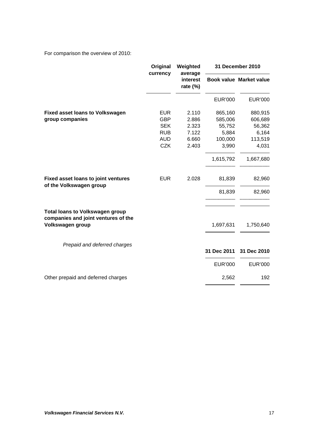For comparison the overview of 2010:

|                                                                                                   | Original<br>currency | Weighted<br>average     |                | 31 December 2010               |
|---------------------------------------------------------------------------------------------------|----------------------|-------------------------|----------------|--------------------------------|
|                                                                                                   |                      | interest<br>rate $(\%)$ |                | <b>Book value Market value</b> |
|                                                                                                   |                      |                         | <b>EUR'000</b> | <b>EUR'000</b>                 |
| <b>Fixed asset loans to Volkswagen</b>                                                            | <b>EUR</b>           | 2.110                   | 865,160        | 880,915                        |
| group companies                                                                                   | <b>GBP</b>           | 2.886                   | 585,006        | 606,689                        |
|                                                                                                   | <b>SEK</b>           | 2.323                   | 55,752         | 56,362                         |
|                                                                                                   | <b>RUB</b>           | 7.122                   | 5,884          | 6,164                          |
|                                                                                                   | <b>AUD</b>           | 6.660                   | 100,000        | 113,519                        |
|                                                                                                   | <b>CZK</b>           | 2.403                   | 3,990          | 4,031                          |
|                                                                                                   |                      |                         | 1,615,792      | 1,667,680                      |
| Fixed asset loans to joint ventures                                                               | <b>EUR</b>           | 2.028                   | 81,839         | 82,960                         |
| of the Volkswagen group                                                                           |                      |                         | 81,839         | 82,960                         |
| <b>Total loans to Volkswagen group</b><br>companies and joint ventures of the<br>Volkswagen group |                      |                         | 1,697,631      | 1,750,640                      |
|                                                                                                   |                      |                         |                |                                |
| Prepaid and deferred charges                                                                      |                      |                         |                |                                |
|                                                                                                   |                      |                         | 31 Dec 2011    | 31 Dec 2010                    |
|                                                                                                   |                      |                         | <b>EUR'000</b> | <b>EUR'000</b>                 |
| Other prepaid and deferred charges                                                                |                      |                         | 2,562          | 192                            |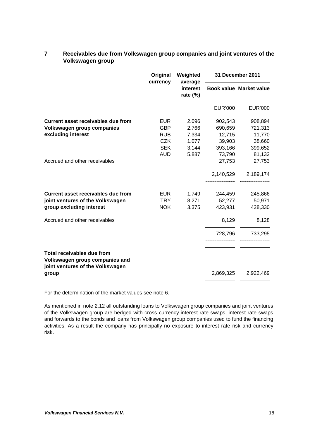## **7 Receivables due from Volkswagen group companies and joint ventures of the Volkswagen group**

| Original<br>Weighted<br>currency<br>average | 31 December 2011               |                |                         |
|---------------------------------------------|--------------------------------|----------------|-------------------------|
|                                             | <i>interest</i><br>rate $(\%)$ |                | Book value Market value |
|                                             |                                | <b>EUR'000</b> | <b>EUR'000</b>          |
| <b>EUR</b>                                  | 2.096                          | 902,543        | 908,894                 |
| <b>GBP</b>                                  | 2.766                          | 690,659        | 721,313                 |
| <b>RUB</b>                                  | 7.334                          | 12,715         | 11,770                  |
| <b>CZK</b>                                  | 1.077                          | 39,903         | 38,660                  |
| <b>SEK</b>                                  | 3.144                          | 393,166        | 399,652                 |
| <b>AUD</b>                                  | 5.887                          | 73,790         | 81,132                  |
|                                             |                                | 27,753         | 27,753                  |
|                                             |                                | 2,140,529      | 2,189,174               |
| <b>EUR</b>                                  | 1.749                          |                | 245,866                 |
| <b>TRY</b>                                  | 8.271                          | 52,277         | 50,971                  |
| <b>NOK</b>                                  | 3.375                          | 423,931        | 428,330                 |
|                                             |                                | 8,129          | 8,128                   |
|                                             |                                | 728,796        | 733,295                 |
|                                             |                                |                | 2,922,469               |
|                                             |                                |                | 244,459<br>2,869,325    |

For the determination of the market values see note 6.

As mentioned in note 2.12 all outstanding loans to Volkswagen group companies and joint ventures of the Volkswagen group are hedged with cross currency interest rate swaps, interest rate swaps and forwards to the bonds and loans from Volkswagen group companies used to fund the financing activities. As a result the company has principally no exposure to interest rate risk and currency risk.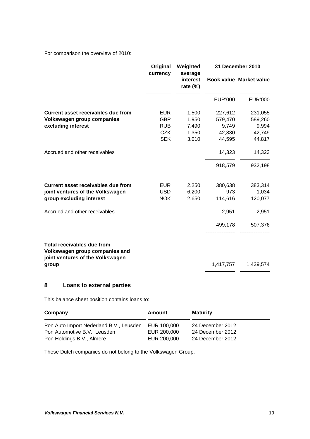For comparison the overview of 2010:

|                                                                                                         | Original<br>currency | Weighted<br>average     |           | 31 December 2010        |
|---------------------------------------------------------------------------------------------------------|----------------------|-------------------------|-----------|-------------------------|
|                                                                                                         |                      | interest<br>rate $(\%)$ |           | Book value Market value |
|                                                                                                         |                      |                         | EUR'000   | <b>EUR'000</b>          |
| <b>Current asset receivables due from</b>                                                               | <b>EUR</b>           | 1.500                   | 227,612   | 231,055                 |
| Volkswagen group companies                                                                              | <b>GBP</b>           | 1.950                   | 579,470   | 589,260                 |
| excluding interest                                                                                      | <b>RUB</b>           | 7.490                   | 9,749     | 9,994                   |
|                                                                                                         | <b>CZK</b>           | 1.350                   | 42,830    | 42,749                  |
|                                                                                                         | <b>SEK</b>           | 3.010                   | 44,595    | 44,817                  |
| Accrued and other receivables                                                                           |                      |                         | 14,323    | 14,323                  |
|                                                                                                         |                      |                         | 918,579   | 932,198                 |
| Current asset receivables due from                                                                      | <b>EUR</b>           | 2.250                   | 380,638   | 383,314                 |
| joint ventures of the Volkswagen                                                                        | <b>USD</b>           | 6.200                   | 973       | 1,034                   |
| group excluding interest                                                                                | <b>NOK</b>           | 2.650                   | 114,616   | 120,077                 |
| Accrued and other receivables                                                                           |                      |                         | 2,951     | 2,951                   |
|                                                                                                         |                      |                         | 499,178   | 507,376                 |
| <b>Total receivables due from</b><br>Volkswagen group companies and<br>joint ventures of the Volkswagen |                      |                         | 1,417,757 | 1,439,574               |
| group                                                                                                   |                      |                         |           |                         |

# **8 Loans to external parties**

This balance sheet position contains loans to:

| Company                                 | Amount      | <b>Maturity</b>  |
|-----------------------------------------|-------------|------------------|
| Pon Auto Import Nederland B.V., Leusden | EUR 100,000 | 24 December 2012 |
| Pon Automotive B.V., Leusden            | EUR 200,000 | 24 December 2012 |
| Pon Holdings B.V., Almere               | EUR 200,000 | 24 December 2012 |

These Dutch companies do not belong to the Volkswagen Group.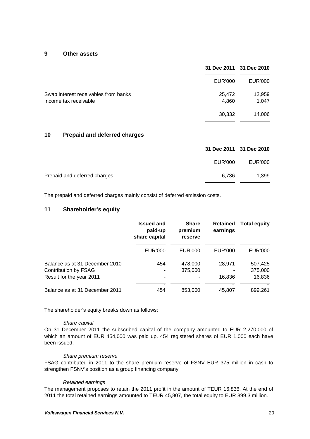#### **9 Other assets**

|                                                               |                 | 31 Dec 2011 31 Dec 2010 |
|---------------------------------------------------------------|-----------------|-------------------------|
|                                                               | EUR'000         | EUR'000                 |
| Swap interest receivables from banks<br>Income tax receivable | 25,472<br>4,860 | 12,959<br>1,047         |
|                                                               | 30,332          | 14,006                  |

## **10 Prepaid and deferred charges**

| 31 Dec 2011 31 Dec 2010               |         |
|---------------------------------------|---------|
| EUR'000                               | EUR'000 |
| Prepaid and deferred charges<br>6.736 | 1,399   |

The prepaid and deferred charges mainly consist of deferred emission costs.

## **11 Shareholder's equity**

|                                                        | <b>Issued and</b><br>paid-up<br>share capital | <b>Share</b><br>premium<br>reserve | <b>Retained</b><br>earnings | <b>Total equity</b> |
|--------------------------------------------------------|-----------------------------------------------|------------------------------------|-----------------------------|---------------------|
|                                                        | EUR'000                                       | EUR'000                            | EUR'000                     | <b>EUR'000</b>      |
| Balance as at 31 December 2010<br>Contribution by FSAG | 454                                           | 478,000<br>375,000                 | 28,971                      | 507,425<br>375,000  |
| Result for the year 2011                               |                                               |                                    | 16,836                      | 16,836              |
| Balance as at 31 December 2011                         | 454                                           | 853,000                            | 45,807                      | 899,261             |

The shareholder's equity breaks down as follows:

#### *Share capital*

On 31 December 2011 the subscribed capital of the company amounted to EUR 2,270,000 of which an amount of EUR 454,000 was paid up. 454 registered shares of EUR 1,000 each have been issued.

#### *Share premium reserve*

FSAG contributed in 2011 to the share premium reserve of FSNV EUR 375 million in cash to strengthen FSNV's position as a group financing company.

#### *Retained earnings*

The management proposes to retain the 2011 profit in the amount of TEUR 16,836. At the end of 2011 the total retained earnings amounted to TEUR 45,807, the total equity to EUR 899.3 million.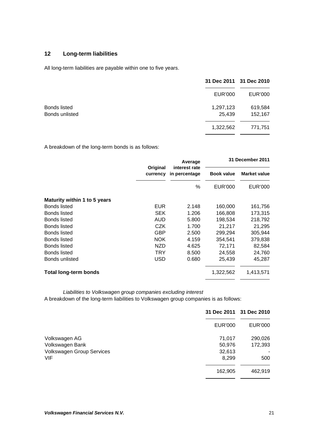## **12 Long-term liabilities**

All long-term liabilities are payable within one to five years.

|                                | 31 Dec 2011 31 Dec 2010 |                    |
|--------------------------------|-------------------------|--------------------|
|                                | EUR'000                 | EUR'000            |
| Bonds listed<br>Bonds unlisted | 1,297,123<br>25,439     | 619,584<br>152,167 |
|                                | 1,322,562               | 771,751            |

A breakdown of the long-term bonds is as follows:

|                              |                      | Average                        | 31 December 2011  |                     |
|------------------------------|----------------------|--------------------------------|-------------------|---------------------|
|                              | Original<br>currency | interest rate<br>in percentage | <b>Book value</b> | <b>Market value</b> |
|                              |                      | %                              | <b>EUR'000</b>    | EUR'000             |
| Maturity within 1 to 5 years |                      |                                |                   |                     |
| <b>Bonds listed</b>          | <b>EUR</b>           | 2.148                          | 160,000           | 161,756             |
| <b>Bonds listed</b>          | <b>SEK</b>           | 1.206                          | 166,808           | 173,315             |
| <b>Bonds listed</b>          | AUD                  | 5.800                          | 198,534           | 218,792             |
| <b>Bonds listed</b>          | <b>CZK</b>           | 1.700                          | 21,217            | 21,295              |
| <b>Bonds listed</b>          | <b>GBP</b>           | 2.500                          | 299,294           | 305,944             |
| <b>Bonds listed</b>          | <b>NOK</b>           | 4.159                          | 354,541           | 379,838             |
| <b>Bonds listed</b>          | <b>NZD</b>           | 4.625                          | 72,171            | 82,584              |
| <b>Bonds listed</b>          | <b>TRY</b>           | 8.500                          | 24,558            | 24,760              |
| <b>Bonds unlisted</b>        | <b>USD</b>           | 0.680                          | 25,439            | 45,287              |
| <b>Total long-term bonds</b> |                      |                                | 1,322,562         | 1,413,571           |

*Liabilities to Volkswagen group companies excluding interest*

A breakdown of the long-term liabilities to Volkswagen group companies is as follows:

|                                  |         | 31 Dec 2011 31 Dec 2010 |
|----------------------------------|---------|-------------------------|
|                                  | EUR'000 | <b>EUR'000</b>          |
| Volkswagen AG                    | 71,017  | 290,026                 |
| Volkswagen Bank                  | 50,976  | 172,393                 |
| <b>Volkswagen Group Services</b> | 32,613  |                         |
| <b>VIF</b>                       | 8,299   | 500                     |
|                                  | 162,905 | 462,919                 |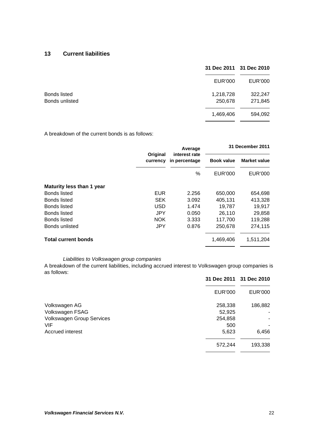## **13 Current liabilities**

|                                | 31 Dec 2011 31 Dec 2010 |                    |
|--------------------------------|-------------------------|--------------------|
|                                | <b>EUR'000</b>          | <b>EUR'000</b>     |
| Bonds listed<br>Bonds unlisted | 1,218,728<br>250,678    | 322,247<br>271,845 |
|                                | 1,469,406               | 594,092            |

A breakdown of the current bonds is as follows:

|                            | Original<br>currency | Average | 31 December 2011 |           |                                |                   |
|----------------------------|----------------------|---------|------------------|-----------|--------------------------------|-------------------|
|                            |                      |         |                  |           | interest rate<br>in percentage | <b>Book value</b> |
|                            |                      | %       | EUR'000          | EUR'000   |                                |                   |
| Maturity less than 1 year  |                      |         |                  |           |                                |                   |
| <b>Bonds listed</b>        | EUR                  | 2.256   | 650,000          | 654,698   |                                |                   |
| <b>Bonds listed</b>        | <b>SEK</b>           | 3.092   | 405.131          | 413,328   |                                |                   |
| <b>Bonds listed</b>        | <b>USD</b>           | 1.474   | 19,787           | 19,917    |                                |                   |
| <b>Bonds listed</b>        | <b>JPY</b>           | 0.050   | 26,110           | 29,858    |                                |                   |
| <b>Bonds listed</b>        | <b>NOK</b>           | 3.333   | 117,700          | 119,288   |                                |                   |
| Bonds unlisted             | <b>JPY</b>           | 0.876   | 250,678          | 274,115   |                                |                   |
| <b>Total current bonds</b> |                      |         | 1,469,406        | 1,511,204 |                                |                   |

### *Liabilities to Volkswagen group companies*

A breakdown of the current liabilities, including accrued interest to Volkswagen group companies is as follows:

|                                  |         | 31 Dec 2011 31 Dec 2010 |
|----------------------------------|---------|-------------------------|
|                                  | EUR'000 | <b>EUR'000</b>          |
| Volkswagen AG                    | 258,338 | 186,882                 |
| Volkswagen FSAG                  | 52,925  |                         |
| <b>Volkswagen Group Services</b> | 254,858 |                         |
| <b>VIF</b>                       | 500     |                         |
| Accrued interest                 | 5,623   | 6,456                   |
|                                  | 572,244 | 193,338                 |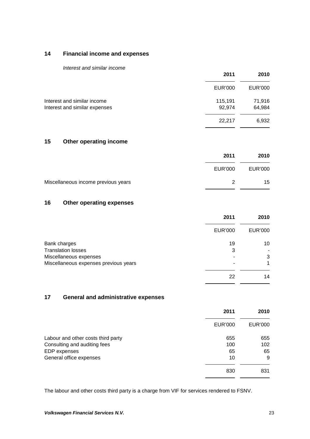## **14 Financial income and expenses**

*Interest and similar income*

|                               | 2011           | 2010           |
|-------------------------------|----------------|----------------|
|                               | <b>EUR'000</b> | <b>EUR'000</b> |
| Interest and similar income   | 115,191        | 71,916         |
| Interest and similar expenses | 92,974         | 64,984         |
|                               | 22,217         | 6,932          |

# **15 Other operating income**

|                                     | 2011    | 2010    |
|-------------------------------------|---------|---------|
|                                     | EUR'000 | EUR'000 |
| Miscellaneous income previous years | 2       | 15      |

## **16 Other operating expenses**

|                                       | 2011           | 2010    |
|---------------------------------------|----------------|---------|
|                                       | <b>EUR'000</b> | EUR'000 |
| Bank charges                          | 19             | 10      |
| <b>Translation losses</b>             | 3              |         |
| Miscellaneous expenses                |                | 3       |
| Miscellaneous expenses previous years |                | 1       |
|                                       | 22             | 14      |

## **17 General and administrative expenses**

|                                    | 2011    | 2010           |
|------------------------------------|---------|----------------|
|                                    | EUR'000 | <b>EUR'000</b> |
| Labour and other costs third party | 655     | 655            |
| Consulting and auditing fees       | 100     | 102            |
| EDP expenses                       | 65      | 65             |
| General office expenses            | 10      | 9              |
|                                    | 830     | 831            |

The labour and other costs third party is a charge from VIF for services rendered to FSNV.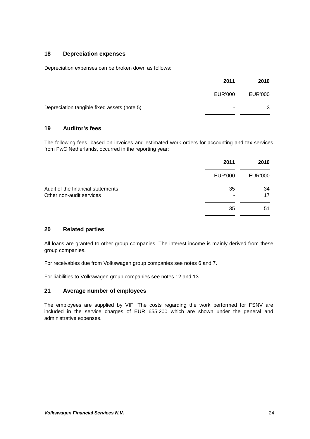## **18 Depreciation expenses**

Depreciation expenses can be broken down as follows:

|                                             | 2011    | 2010    |
|---------------------------------------------|---------|---------|
|                                             | EUR'000 | EUR'000 |
| Depreciation tangible fixed assets (note 5) | ٠       | 3       |

## **19 Auditor's fees**

The following fees, based on invoices and estimated work orders for accounting and tax services from PwC Netherlands, occurred in the reporting year:

| <b>EUR'000</b>                                                           | <b>EUR'000</b> |
|--------------------------------------------------------------------------|----------------|
| Audit of the financial statements<br>35<br>Other non-audit services<br>٠ | 34<br>17       |
| 35                                                                       | 51             |

## **20 Related parties**

All loans are granted to other group companies. The interest income is mainly derived from these group companies.

For receivables due from Volkswagen group companies see notes 6 and 7.

For liabilities to Volkswagen group companies see notes 12 and 13.

### **21 Average number of employees**

The employees are supplied by VIF. The costs regarding the work performed for FSNV are included in the service charges of EUR 655,200 which are shown under the general and administrative expenses.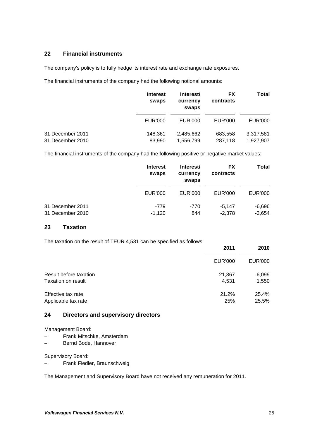## **22 Financial instruments**

The company's policy is to fully hedge its interest rate and exchange rate exposures.

The financial instruments of the company had the following notional amounts:

|                  | <b>Interest</b><br>swaps | Interest/<br>currency<br>swaps | FX<br>contracts | <b>Total</b> |
|------------------|--------------------------|--------------------------------|-----------------|--------------|
|                  | EUR'000                  | EUR'000                        | EUR'000         | EUR'000      |
| 31 December 2011 | 148.361                  | 2,485,662                      | 683,558         | 3,317,581    |
| 31 December 2010 | 83.990                   | 1,556,799                      | 287,118         | 1.927.907    |

The financial instruments of the company had the following positive or negative market values:

|                                      | <b>Interest</b><br>swaps | Interest/<br>currency<br>swaps | <b>FX</b><br>contracts | Total                |
|--------------------------------------|--------------------------|--------------------------------|------------------------|----------------------|
|                                      | EUR'000                  | EUR'000                        | <b>EUR'000</b>         | EUR'000              |
| 31 December 2011<br>31 December 2010 | $-779$<br>$-1,120$       | -770<br>844                    | $-5.147$<br>$-2,378$   | $-6,696$<br>$-2,654$ |

## **23 Taxation**

The taxation on the result of TEUR 4,531 can be specified as follows:

|                        | 2011    | 2010    |
|------------------------|---------|---------|
|                        | EUR'000 | EUR'000 |
| Result before taxation | 21,367  | 6,099   |
| Taxation on result     | 4,531   | 1,550   |
| Effective tax rate     | 21.2%   | 25.4%   |
| Applicable tax rate    | 25%     | 25.5%   |

## **24 Directors and supervisory directors**

Management Board:

- Frank Mitschke, Amsterdam
- Bernd Bode, Hannover

Supervisory Board:

Frank Fiedler, Braunschweig

The Management and Supervisory Board have not received any remuneration for 2011.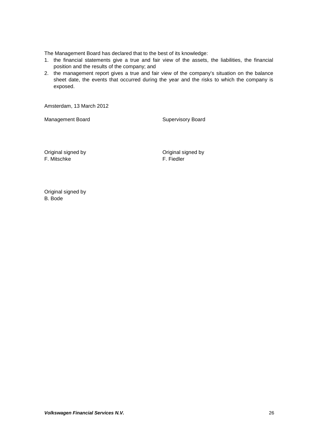The Management Board has declared that to the best of its knowledge:

- 1. the financial statements give a true and fair view of the assets, the liabilities, the financial position and the results of the company; and
- 2. the management report gives a true and fair view of the company's situation on the balance sheet date, the events that occurred during the year and the risks to which the company is exposed.

Amsterdam, 13 March 2012

Management Board **Supervisory Board** Supervisory Board

F. Mitschke F. Fiedler

Original signed by Original signed by

Original signed by B. Bode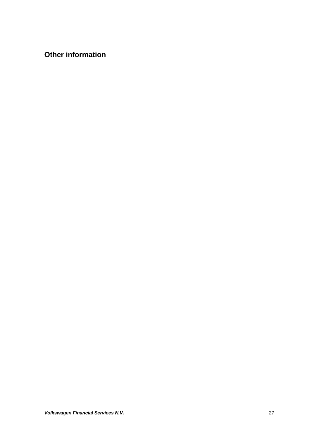# **Other information**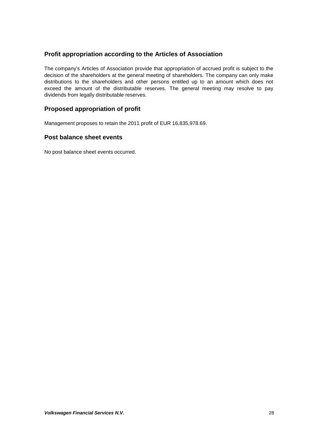# **Profit appropriation according to the Articles of Association**

The company's Articles of Association provide that appropriation of accrued profit is subject to the decision of the shareholders at the general meeting of shareholders. The company can only make distributions to the shareholders and other persons entitled up to an amount which does not exceed the amount of the distributable reserves. The general meeting may resolve to pay dividends from legally distributable reserves.

## **Proposed appropriation of profit**

Management proposes to retain the 2011 profit of EUR 16,835,978.69.

## **Post balance sheet events**

No post balance sheet events occurred.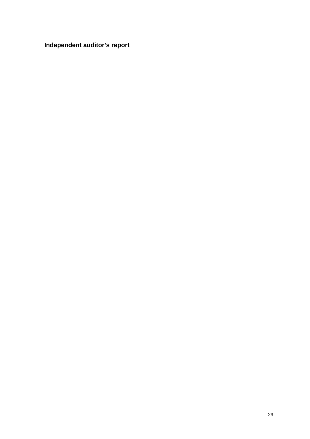**Independent auditor's report**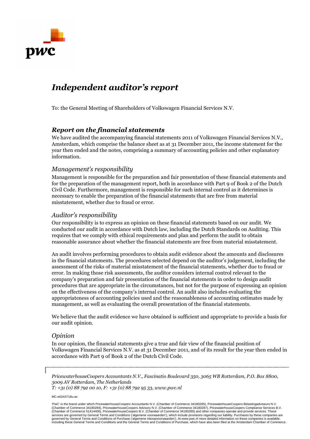

# *Independent auditor's report*

To: the General Meeting of Shareholders of Volkswagen Financial Services N.V.

## *Report on the financial statements*

We have audited the accompanying financial statements 2011 of Volkswagen Financial Services N.V., Amsterdam, which comprise the balance sheet as at 31 December 2011, the income statement for the year then ended and the notes, comprising a summary of accounting policies and other explanatory information.

#### *Management's responsibility*

Management is responsible for the preparation and fair presentation of these financial statements and for the preparation of the management report, both in accordance with Part 9 of Book 2 of the Dutch Civil Code. Furthermore, management is responsible for such internal control as it determines is necessary to enable the preparation of the financial statements that are free from material misstatement, whether due to fraud or error.

#### *Auditor's responsibility*

Our responsibility is to express an opinion on these financial statements based on our audit. We conducted our audit in accordance with Dutch law, including the Dutch Standards on Auditing. This requires that we comply with ethical requirements and plan and perform the audit to obtain reasonable assurance about whether the financial statements are free from material misstatement.

An audit involves performing procedures to obtain audit evidence about the amounts and disclosures in the financial statements. The procedures selected depend on the auditor's judgement, including the assessment of the risks of material misstatement of the financial statements, whether due to fraud or error. In making those risk assessments, the auditor considers internal control relevant to the company's preparation and fair presentation of the financial statements in order to design audit procedures that are appropriate in the circumstances, but not for the purpose of expressing an opinion on the effectiveness of the company's internal control. An audit also includes evaluating the appropriateness of accounting policies used and the reasonableness of accounting estimates made by management, as well as evaluating the overall presentation of the financial statements.

We believe that the audit evidence we have obtained is sufficient and appropriate to provide a basis for our audit opinion.

#### *Opinion*

In our opinion, the financial statements give a true and fair view of the financial position of Volkswagen Financial Services N.V. as at 31 December 2011, and of its result for the year then ended in accordance with Part 9 of Book 2 of the Dutch Civil Code.

*PricewaterhouseCoopers Accountants N.V., Fascinatio Boulevard 350, 3065 WB Rotterdam, P.O. Box 8800, 3009 AV Rotterdam, The Netherlands T: +31 (0) 88 792 00 10, F: +31 (0) 88 792 95 33, www.pwc.nl*

MC-e0243718u-av

'PwC' is the brand under which PricewaterhouseCoopers Accountants N.V. (Chamber of Commerce 34180285), PricewaterhouseCoopers Belastingadviseurs N.V. (Chamber of Commerce 34180284), PricewaterhouseCoopers Advisory N.V. (Chamber of Commerce 34180287), PricewaterhouseCoopers Compliance Services B.V.<br>(Chamber of Commerce 51414406), PricewaterhouseCoopers B.V. (Chamber of C services are governed by General Terms and Conditions ('algemene voorwaarden'), which include provisions regarding our liability. Purchases by these companies are<br>governed by General Terms and Conditions of Purchase ('alge